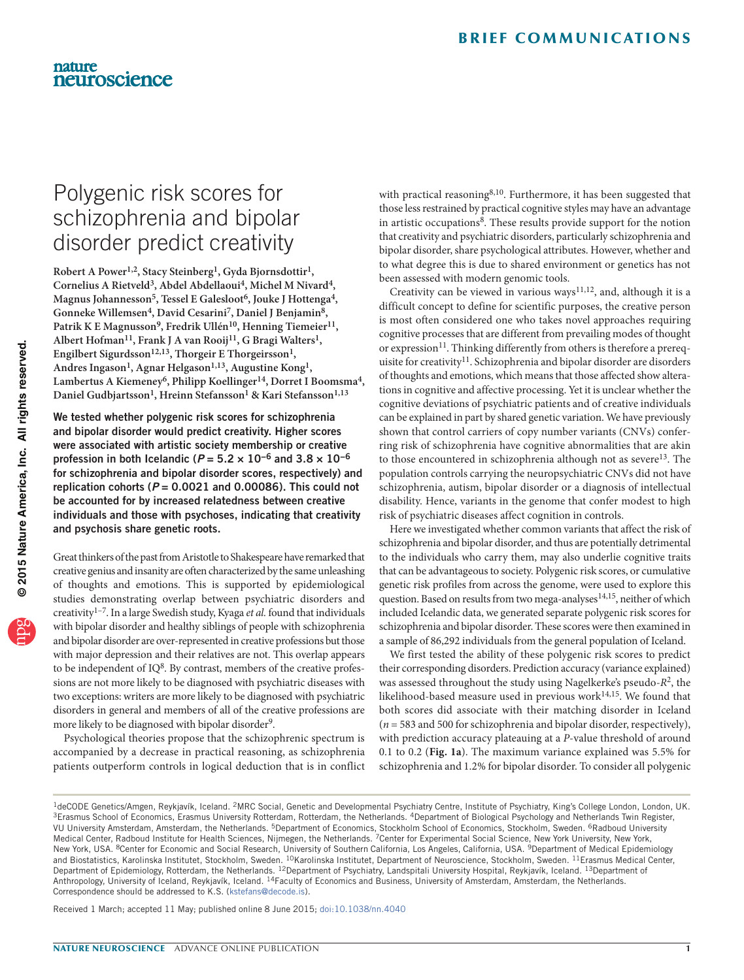# Polygenic risk scores for schizophrenia and bipolar disorder predict creativity

**Robert A Power1,2, Stacy Steinberg1, Gyda Bjornsdottir1, Cornelius A Rietveld3, Abdel Abdellaoui4, Michel M Nivard4, Magnus Johannesson5, Tessel E Galesloot6, Jouke J Hottenga4, Gonneke Willemsen4, David Cesarini7, Daniel J Benjamin8,**  Patrik K E Magnusson<sup>9</sup>, Fredrik Ullén<sup>10</sup>, Henning Tiemeier<sup>11</sup>, **Albert Hofman11, Frank J A van Rooij11, G Bragi Walters1,**  Engilbert Sigurdsson<sup>12,13</sup>, Thorgeir E Thorgeirsson<sup>1</sup>, Andres Ingason<sup>1</sup>, Agnar Helgason<sup>1,13</sup>, Augustine Kong<sup>1</sup>, **Lambertus A Kiemeney6, Philipp Koellinger14, Dorret I Boomsma4, Daniel Gudbjartsson1, Hreinn Stefansson1 & Kari Stefansson1,13**

We tested whether polygenic risk scores for schizophrenia and bipolar disorder would predict creativity. Higher scores were associated with artistic society membership or creative profession in both Icelandic ( $P = 5.2 \times 10^{-6}$  and  $3.8 \times 10^{-6}$ for schizophrenia and bipolar disorder scores, respectively) and replication cohorts ( $P = 0.0021$  and 0.00086). This could not be accounted for by increased relatedness between creative individuals and those with psychoses, indicating that creativity and psychosis share genetic roots.

Great thinkers of the past from Aristotle to Shakespeare have remarked that creative genius and insanity are often characterized by the same unleashing of thoughts and emotions. This is supported by epidemiological studies demonstrating overlap between psychiatric disorders and creativit[y1–](#page-2-0)[7.](#page-2-1) In a large Swedish study, Kyaga *et al.* found that individuals with bipolar disorder and healthy siblings of people with schizophrenia and bipolar disorder are over-represented in creative professions but those with major depression and their relatives are not. This overlap appears to be independent of  $IQ^8$  $IQ^8$ . By contrast, members of the creative professions are not more likely to be diagnosed with psychiatric diseases with two exceptions: writers are more likely to be diagnosed with psychiatric disorders in general and members of all of the creative professions are more likely to be diagnosed with bipolar disorder<sup>9</sup>.

Psychological theories propose that the schizophrenic spectrum is accompanied by a decrease in practical reasoning, as schizophrenia patients outperform controls in logical deduction that is in conflict

with practical reasoning<sup>[8,](#page-2-2)[10](#page-2-4)</sup>. Furthermore, it has been suggested that those less restrained by practical cognitive styles may have an advantage in artistic occupations<sup>8</sup>. These results provide support for the notion that creativity and psychiatric disorders, particularly schizophrenia and bipolar disorder, share psychological attributes. However, whether and to what degree this is due to shared environment or genetics has not been assessed with modern genomic tools.

Creativity can be viewed in various ways $11,12$  $11,12$ , and, although it is a difficult concept to define for scientific purposes, the creative person is most often considered one who takes novel approaches requiring cognitive processes that are different from prevailing modes of thought or expression<sup>11</sup>. Thinking differently from others is therefore a prereq-uisite for creativity<sup>[11](#page-2-5)</sup>. Schizophrenia and bipolar disorder are disorders of thoughts and emotions, which means that those affected show alterations in cognitive and affective processing. Yet it is unclear whether the cognitive deviations of psychiatric patients and of creative individuals can be explained in part by shared genetic variation. We have previously shown that control carriers of copy number variants (CNVs) conferring risk of schizophrenia have cognitive abnormalities that are akin to those encountered in schizophrenia although not as severe<sup>13</sup>. The population controls carrying the neuropsychiatric CNVs did not have schizophrenia, autism, bipolar disorder or a diagnosis of intellectual disability. Hence, variants in the genome that confer modest to high risk of psychiatric diseases affect cognition in controls.

Here we investigated whether common variants that affect the risk of schizophrenia and bipolar disorder, and thus are potentially detrimental to the individuals who carry them, may also underlie cognitive traits that can be advantageous to society. Polygenic risk scores, or cumulative genetic risk profiles from across the genome, were used to explore this question. Based on results from two mega-analyses<sup>[14,](#page-2-8)15</sup>, neither of which included Icelandic data, we generated separate polygenic risk scores for schizophrenia and bipolar disorder. These scores were then examined in a sample of 86,292 individuals from the general population of Iceland.

We first tested the ability of these polygenic risk scores to predict their corresponding disorders. Prediction accuracy (variance explained) was assessed throughout the study using Nagelkerke's pseudo-*R*2, the likelihood-based measure used in previous work<sup>[14,](#page-2-8)15</sup>. We found that both scores did associate with their matching disorder in Iceland (*n* = 583 and 500 for schizophrenia and bipolar disorder, respectively), with prediction accuracy plateauing at a *P*-value threshold of around 0.1 to 0.2 (**[Fig. 1a](#page-1-0)**). The maximum variance explained was 5.5% for schizophrenia and 1.2% for bipolar disorder. To consider all polygenic

Received 1 March; accepted 11 May; published online 8 June 2015; [doi:10.1038/nn.4040](http://www.nature.com/doifinder/10.1038/nn.4040)

<sup>&</sup>lt;sup>1</sup>deCODE Genetics/Amgen, Reykjavík, Iceland. <sup>2</sup>MRC Social, Genetic and Developmental Psychiatry Centre, Institute of Psychiatry, King's College London, London, UK.<br><sup>3</sup>Erasmus School of Economics, Erasmus University Rotte VU University Amsterdam, Amsterdam, the Netherlands. 5Department of Economics, Stockholm School of Economics, Stockholm, Sweden. 6Radboud University Medical Center, Radboud Institute for Health Sciences, Nijmegen, the Netherlands. <sup>7</sup>Center for Experimental Social Science, New York University, New York, New York, USA. <sup>8</sup>Center for Economic and Social Research, University of Southern California, Los Angeles, California, USA. 9Department of Medical Epidemiology and Biostatistics, Karolinska Institutet, Stockholm, Sweden. <sup>10</sup>Karolinska Institutet, Department of Neuroscience, Stockholm, Sweden. <sup>11</sup>Erasmus Medical Center, Department of Epidemiology, Rotterdam, the Netherlands. <sup>12</sup>Department of Psychiatry, Landspitali University Hospital, Reykjavík, Iceland. <sup>13</sup>Department of Anthropology, University of Iceland, Reykjavík, Iceland. <sup>14</sup>Faculty of Economics and Business, University of Amsterdam, Amsterdam, the Netherlands. Correspondence should be addressed to K.S. (kstefans@decode.is).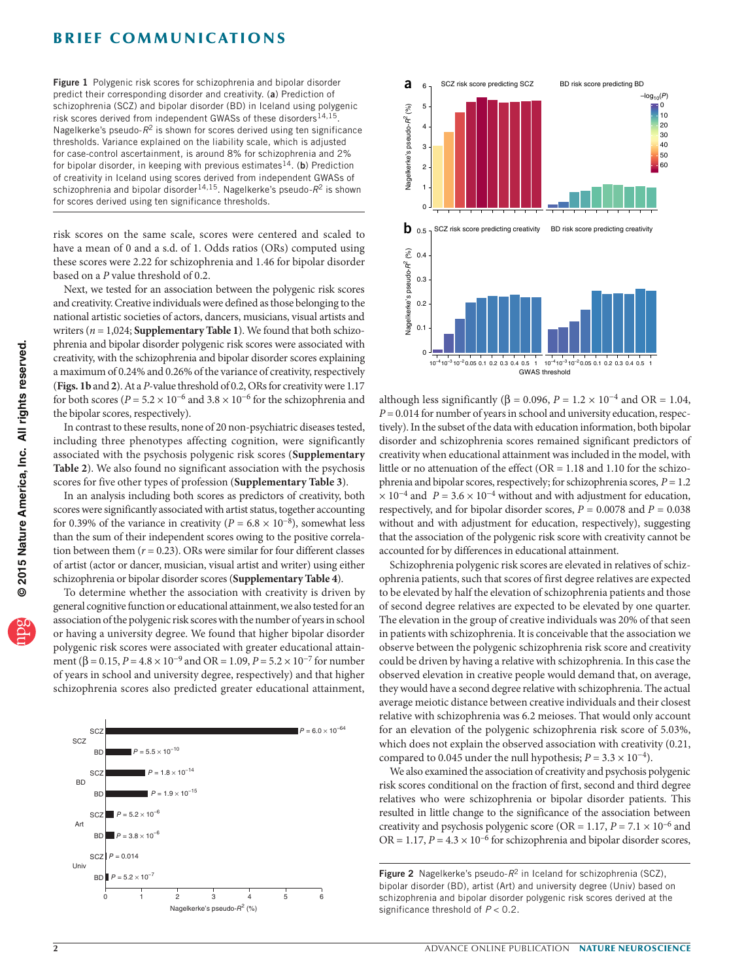# **BRIEF COMMUNICATIONS**

<span id="page-1-0"></span>Figure 1 Polygenic risk scores for schizophrenia and bipolar disorder predict their corresponding disorder and creativity. (a) Prediction of schizophrenia (SCZ) and bipolar disorder (BD) in Iceland using polygenic risk scores derived from independent GWASs of these disorders $14,15$  $14,15$ Nagelkerke's pseudo-*R*2 is shown for scores derived using ten significance thresholds. Variance explained on the liability scale, which is adjusted for case-control ascertainment, is around 8% for schizophrenia and 2% for bipolar disorder, in keeping with previous estimates<sup>14</sup>. (b) Prediction of creativity in Iceland using scores derived from independent GWASs of schizophrenia and bipolar disorder[14,](#page-2-8)[15.](#page-2-9) Nagelkerke's pseudo*-R*2 is shown for scores derived using ten significance thresholds.

risk scores on the same scale, scores were centered and scaled to have a mean of 0 and a s.d. of 1. Odds ratios (ORs) computed using these scores were 2.22 for schizophrenia and 1.46 for bipolar disorder based on a *P* value threshold of 0.2.

Next, we tested for an association between the polygenic risk scores and creativity. Creative individuals were defined as those belonging to the national artistic societies of actors, dancers, musicians, visual artists and writers (*n* = 1,024; **Supplementary Table 1**). We found that both schizophrenia and bipolar disorder polygenic risk scores were associated with creativity, with the schizophrenia and bipolar disorder scores explaining a maximum of 0.24% and 0.26% of the variance of creativity, respectively (**[Figs. 1b](#page-1-0)** and **2**). At a *P*-value threshold of 0.2, ORs for creativity were 1.17 for both scores ( $P = 5.2 \times 10^{-6}$  and  $3.8 \times 10^{-6}$  for the schizophrenia and the bipolar scores, respectively).

In contrast to these results, none of 20 non-psychiatric diseases tested, including three phenotypes affecting cognition, were significantly associated with the psychosis polygenic risk scores (**Supplementary Table 2**). We also found no significant association with the psychosis scores for five other types of profession (**Supplementary Table 3**).

In an analysis including both scores as predictors of creativity, both scores were significantly associated with artist status, together accounting for 0.39% of the variance in creativity ( $P = 6.8 \times 10^{-8}$ ), somewhat less than the sum of their independent scores owing to the positive correlation between them  $(r = 0.23)$ . ORs were similar for four different classes of artist (actor or dancer, musician, visual artist and writer) using either schizophrenia or bipolar disorder scores (**Supplementary Table 4**).

To determine whether the association with creativity is driven by general cognitive function or educational attainment, we also tested for an association of the polygenic risk scores with the number of years in school or having a university degree. We found that higher bipolar disorder polygenic risk scores were associated with greater educational attainment (β = 0.15,  $P = 4.8 \times 10^{-9}$  and OR = 1.09,  $P = 5.2 \times 10^{-7}$  for number of years in school and university degree, respectively) and that higher schizophrenia scores also predicted greater educational attainment,





although less significantly ( $β = 0.096$ ,  $P = 1.2 \times 10^{-4}$  and OR = 1.04, *P* = 0.014 for number of years in school and university education, respectively). In the subset of the data with education information, both bipolar disorder and schizophrenia scores remained significant predictors of creativity when educational attainment was included in the model, with little or no attenuation of the effect (OR = 1.18 and 1.10 for the schizophrenia and bipolar scores, respectively; for schizophrenia scores, *P* = 1.2  $× 10<sup>-4</sup>$  and *P* = 3.6 × 10<sup>-4</sup> without and with adjustment for education, respectively, and for bipolar disorder scores,  $P = 0.0078$  and  $P = 0.038$ without and with adjustment for education, respectively), suggesting that the association of the polygenic risk score with creativity cannot be accounted for by differences in educational attainment.

Schizophrenia polygenic risk scores are elevated in relatives of schizophrenia patients, such that scores of first degree relatives are expected to be elevated by half the elevation of schizophrenia patients and those of second degree relatives are expected to be elevated by one quarter. The elevation in the group of creative individuals was 20% of that seen in patients with schizophrenia. It is conceivable that the association we observe between the polygenic schizophrenia risk score and creativity could be driven by having a relative with schizophrenia. In this case the observed elevation in creative people would demand that, on average, they would have a second degree relative with schizophrenia. The actual average meiotic distance between creative individuals and their closest relative with schizophrenia was 6.2 meioses. That would only account for an elevation of the polygenic schizophrenia risk score of 5.03%, which does not explain the observed association with creativity (0.21, compared to 0.045 under the null hypothesis;  $P = 3.3 \times 10^{-4}$ ).

We also examined the association of creativity and psychosis polygenic risk scores conditional on the fraction of first, second and third degree relatives who were schizophrenia or bipolar disorder patients. This resulted in little change to the significance of the association between creativity and psychosis polygenic score (OR = 1.17,  $P = 7.1 \times 10^{-6}$  and OR = 1.17,  $P = 4.3 \times 10^{-6}$  for schizophrenia and bipolar disorder scores,

Figure 2 Nagelkerke's pseudo-*R*2 in Iceland for schizophrenia (SCZ), bipolar disorder (BD), artist (Art) and university degree (Univ) based on schizophrenia and bipolar disorder polygenic risk scores derived at the significance threshold of *P* < 0.2.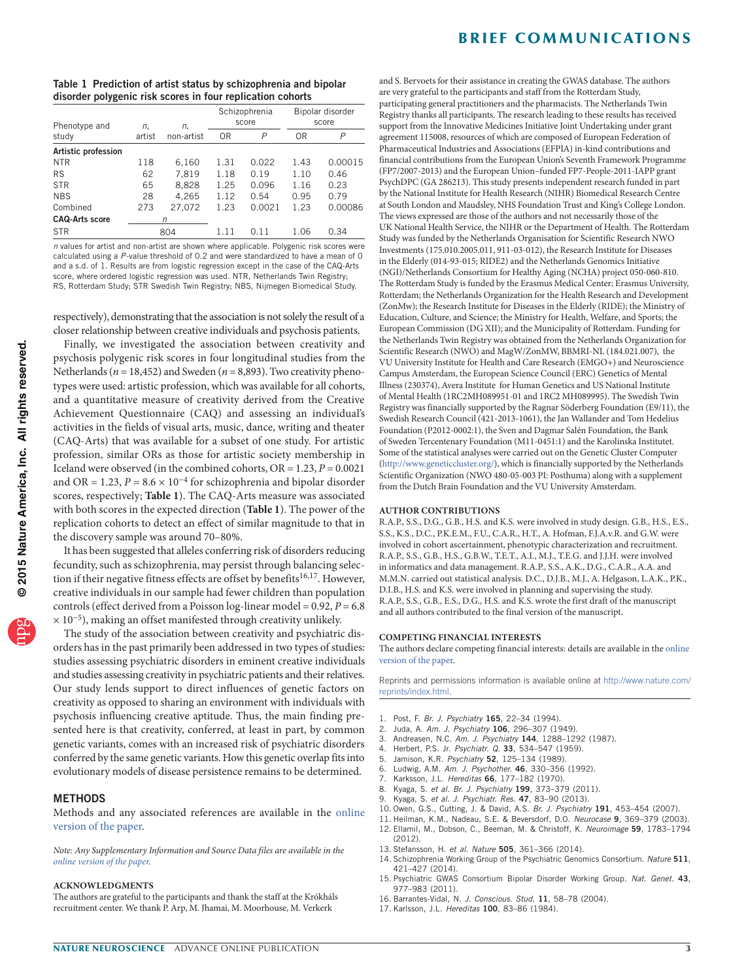<span id="page-2-10"></span>

| Table 1 Prediction of artist status by schizophrenia and bipolar |
|------------------------------------------------------------------|
| disorder polygenic risk scores in four replication cohorts       |

| --                              |              |                  |                        |        |                           |         |  |  |
|---------------------------------|--------------|------------------|------------------------|--------|---------------------------|---------|--|--|
|                                 |              |                  | Schizophrenia<br>score |        | Bipolar disorder<br>score |         |  |  |
| Phenotype and<br>study          | n.<br>artist | n.<br>non-artist | 0 <sub>R</sub>         | P      | 0 <sub>R</sub>            | P       |  |  |
| Artistic profession             |              |                  |                        |        |                           |         |  |  |
| <b>NTR</b>                      | 118          | 6,160            | 1.31                   | 0.022  | 1.43                      | 0.00015 |  |  |
| <b>RS</b>                       | 62           | 7,819            | 1.18                   | 0.19   | 1.10                      | 0.46    |  |  |
| <b>STR</b>                      | 65           | 8,828            | 1.25                   | 0.096  | 1.16                      | 0.23    |  |  |
| <b>NBS</b>                      | 28           | 4,265            | 1.12                   | 0.54   | 0.95                      | 0.79    |  |  |
| Combined                        | 273          | 27.072           | 1.23                   | 0.0021 | 1.23                      | 0.00086 |  |  |
| <b>CAQ-Arts score</b><br>$\eta$ |              |                  |                        |        |                           |         |  |  |
| <b>STR</b>                      | 804          |                  | 1.11                   | 0.11   | 1.06                      | 0.34    |  |  |

*n* values for artist and non-artist are shown where applicable. Polygenic risk scores were calculated using a *P*-value threshold of 0.2 and were standardized to have a mean of 0 and a s.d. of 1. Results are from logistic regression except in the case of the CAQ-Arts score, where ordered logistic regression was used. NTR, Netherlands Twin Registry; RS, Rotterdam Study; STR Swedish Twin Registry; NBS, Nijmegen Biomedical Study.

respectively), demonstrating that the association is not solely the result of a closer relationship between creative individuals and psychosis patients.

Finally, we investigated the association between creativity and psychosis polygenic risk scores in four longitudinal studies from the Netherlands ( $n = 18,452$ ) and Sweden ( $n = 8,893$ ). Two creativity phenotypes were used: artistic profession, which was available for all cohorts, and a quantitative measure of creativity derived from the Creative Achievement Questionnaire (CAQ) and assessing an individual's activities in the fields of visual arts, music, dance, writing and theater (CAQ-Arts) that was available for a subset of one study. For artistic profession, similar ORs as those for artistic society membership in Iceland were observed (in the combined cohorts, OR = 1.23, *P* = 0.0021 and OR = 1.23,  $P = 8.6 \times 10^{-4}$  for schizophrenia and bipolar disorder scores, respectively; **[Table 1](#page-2-10)**). The CAQ-Arts measure was associated with both scores in the expected direction (**[Table 1](#page-2-10)**). The power of the replication cohorts to detect an effect of similar magnitude to that in the discovery sample was around 70–80%.

It has been suggested that alleles conferring risk of disorders reducing fecundity, such as schizophrenia, may persist through balancing selection if their negative fitness effects are offset by benefits<sup>16,17</sup>. However, creative individuals in our sample had fewer children than population controls (effect derived from a Poisson log-linear model = 0.92, *P* = 6.8 × 10−5), making an offset manifested through creativity unlikely.

The study of the association between creativity and psychiatric disorders has in the past primarily been addressed in two types of studies: studies assessing psychiatric disorders in eminent creative individuals and studies assessing creativity in psychiatric patients and their relatives. Our study lends support to direct influences of genetic factors on creativity as opposed to sharing an environment with individuals with psychosis influencing creative aptitude. Thus, the main finding presented here is that creativity, conferred, at least in part, by common genetic variants, comes with an increased risk of psychiatric disorders conferred by the same genetic variants. How this genetic overlap fits into evolutionary models of disease persistence remains to be determined.

### **METHODS**

Methods and any associated references are available in the [online](http://www.nature.com/doifinder/10.1038/nn.4040) [version](http://www.nature.com/doifinder/10.1038/nn.4040) of the paper.

*Note: Any Supplementary Information and Source Data files are available in the [online version of the paper.](http://www.nature.com/doifinder/10.1038/nn.4040)*

#### **Acknowledgments**

The authors are grateful to the participants and thank the staff at the Krókháls recruitment center. We thank P. Arp, M. Jhamai, M. Moorhouse, M. Verkerk

and S. Bervoets for their assistance in creating the GWAS database. The authors are very grateful to the participants and staff from the Rotterdam Study, participating general practitioners and the pharmacists. The Netherlands Twin Registry thanks all participants. The research leading to these results has received support from the Innovative Medicines Initiative Joint Undertaking under grant agreement 115008, resources of which are composed of European Federation of Pharmaceutical Industries and Associations (EFPIA) in-kind contributions and financial contributions from the European Union's Seventh Framework Programme (FP7/2007-2013) and the European Union–funded FP7-People-2011-IAPP grant PsychDPC (GA 286213). This study presents independent research funded in part by the National Institute for Health Research (NIHR) Biomedical Research Centre at South London and Maudsley, NHS Foundation Trust and King's College London. The views expressed are those of the authors and not necessarily those of the UK National Health Service, the NIHR or the Department of Health. The Rotterdam Study was funded by the Netherlands Organisation for Scientific Research NWO Investments (175.010.2005.011, 911-03-012), the Research Institute for Diseases in the Elderly (014-93-015; RIDE2) and the Netherlands Genomics Initiative (NGI)/Netherlands Consortium for Healthy Aging (NCHA) project 050-060-810. The Rotterdam Study is funded by the Erasmus Medical Center; Erasmus University, Rotterdam; the Netherlands Organization for the Health Research and Development (ZonMw); the Research Institute for Diseases in the Elderly (RIDE); the Ministry of Education, Culture, and Science; the Ministry for Health, Welfare, and Sports; the European Commission (DG XII); and the Municipality of Rotterdam. Funding for the Netherlands Twin Registry was obtained from the Netherlands Organization for Scientific Research (NWO) and MagW/ZonMW, BBMRI-NL (184.021.007), the VU University Institute for Health and Care Research (EMGO+) and Neuroscience Campus Amsterdam, the European Science Council (ERC) Genetics of Mental Illness (230374), Avera Institute for Human Genetics and US National Institute of Mental Health (1RC2MH089951-01 and 1RC2 MH089995). The Swedish Twin Registry was financially supported by the Ragnar Söderberg Foundation (E9/11), the Swedish Research Council (421-2013-1061), the Jan Wallander and Tom Hedelius Foundation (P2012-0002:1), the Sven and Dagmar Salén Foundation, the Bank of Sweden Tercentenary Foundation (M11-0451:1) and the Karolinska Institutet. Some of the statistical analyses were carried out on the Genetic Cluster Computer [\(http://www.geneticcluster.org/](http://www.geneticcluster.org/)), which is financially supported by the Netherlands Scientific Organization (NWO 480-05-003 PI: Posthuma) along with a supplement from the Dutch Brain Foundation and the VU University Amsterdam.

#### **AUTHOR CONTRIBUTIONS**

R.A.P., S.S., D.G., G.B., H.S. and K.S. were involved in study design. G.B., H.S., E.S., S.S., K.S., D.C., P.K.E.M., F.U., C.A.R., H.T., A. Hofman, F.J.A.v.R. and G.W. were involved in cohort ascertainment, phenotypic characterization and recruitment. R.A.P., S.S., G.B., H.S., G.B.W., T.E.T., A.I., M.J., T.E.G. and J.J.H. were involved in informatics and data management. R.A.P., S.S., A.K., D.G., C.A.R., A.A. and M.M.N. carried out statistical analysis. D.C., D.J.B., M.J., A. Helgason, L.A.K., P.K., D.I.B., H.S. and K.S. were involved in planning and supervising the study. R.A.P., S.S., G.B., E.S., D.G., H.S. and K.S. wrote the first draft of the manuscript and all authors contributed to the final version of the manuscript.

#### **COMPETING FINANCIAL INTERESTS**

The authors declare competing financial interests: details are available in the [online](http://www.nature.com/doifinder/10.1038/nn.4040)  [version of the paper.](http://www.nature.com/doifinder/10.1038/nn.4040)

Reprints and permissions information is available online at [http://www.nature.com/](http://www.nature.com/reprints/index.html) [reprints/index.html.](http://www.nature.com/reprints/index.html)

- <span id="page-2-0"></span>1. Post, F. *Br. J. Psychiatry* 165, 22–34 (1994).
- 2. Juda, A. *Am. J. Psychiatry* 106, 296–307 (1949).
- 3. Andreasen, N.C. *Am. J. Psychiatry* 144, 1288–1292 (1987).
- 4. Herbert, P.S. Jr. *Psychiatr. Q.* 33, 534–547 (1959).
- 5. Jamison, K.R. *Psychiatry* 52, 125–134 (1989).
- 6. Ludwig, A.M. *Am. J. Psychother.* 46, 330–356 (1992).
- <span id="page-2-1"></span>7. Karksson, J.L. *Hereditas* 66, 177–182 (1970).
- <span id="page-2-2"></span>8. Kyaga, S. *et al. Br. J. Psychiatry* 199, 373–379 (2011).
- <span id="page-2-3"></span>9. Kyaga, S. *et al. J. Psychiatr. Res.* 47, 83–90 (2013).
- <span id="page-2-4"></span>10. Owen, G.S., Cutting, J. & David, A.S. *Br. J. Psychiatry* 191, 453–454 (2007).
- <span id="page-2-6"></span><span id="page-2-5"></span>11. Heilman, K.M., Nadeau, S.E. & Beversdorf, D.O. *Neurocase* 9, 369–379 (2003). 12. Ellamil, M., Dobson, C., Beeman, M. & Christoff, K. *Neuroimage* 59, 1783–1794 (2012).
- <span id="page-2-7"></span>13. Stefansson, H. *et al. Nature* 505, 361–366 (2014).
- <span id="page-2-8"></span>14. Schizophrenia Working Group of the Psychiatric Genomics Consortium. *Nature* 511, 421–427 (2014).
- <span id="page-2-9"></span>15. Psychiatric GWAS Consortium Bipolar Disorder Working Group. *Nat. Genet.* 43, 977–983 (2011).
- <span id="page-2-11"></span>16. Barrantes-Vidal, N. *J. Conscious. Stud.* 11, 58–78 (2004).
- <span id="page-2-12"></span>17. Karlsson, J.L. *Hereditas* 100, 83–86 (1984).